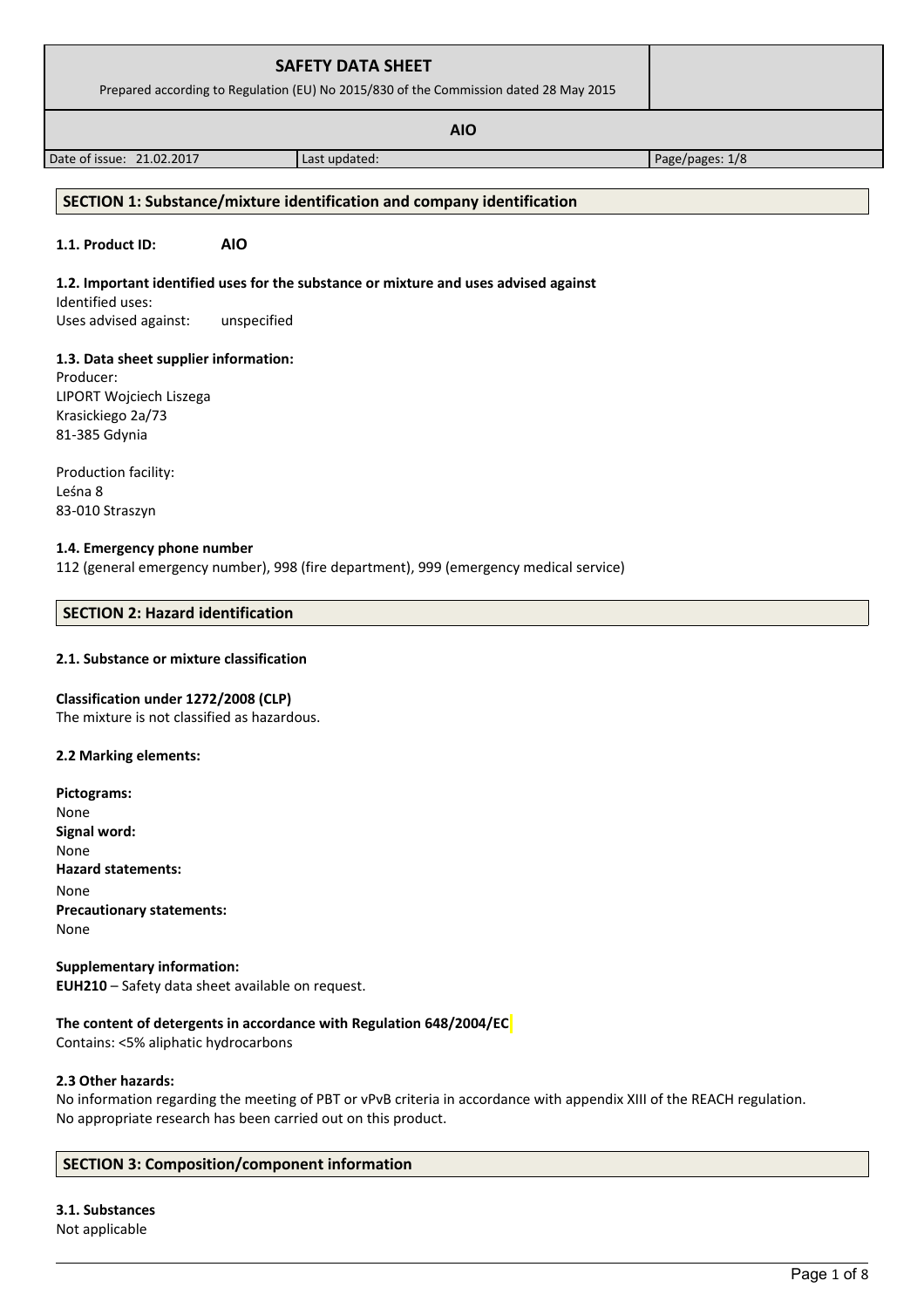| <b>SAFETY DATA SHEET</b><br>Prepared according to Regulation (EU) No 2015/830 of the Commission dated 28 May 2015 |                                                                                                                                                                                                                                        |                 |
|-------------------------------------------------------------------------------------------------------------------|----------------------------------------------------------------------------------------------------------------------------------------------------------------------------------------------------------------------------------------|-----------------|
|                                                                                                                   |                                                                                                                                                                                                                                        |                 |
| Date of issue: 21.02.2017                                                                                         | Last updated:                                                                                                                                                                                                                          | Page/pages: 1/8 |
|                                                                                                                   | $\mathcal{L}$ . The set of the set of $\mathcal{L}$ is the set of the set of the set of the set of the set of the set of the set of the set of the set of the set of the set of the set of the set of the set of the set of the set of |                 |

### **SECTION 1: Substance/mixture identification and company identification**

### **1.1. Product ID: AIO**

### **1.2. Important identified uses for the substance or mixture and uses advised against**

Identified uses: Uses advised against: unspecified

### **1.3. Data sheet supplier information:**

Producer: LIPORT Wojciech Liszega Krasickiego 2a/73 81-385 Gdynia

Production facility: Leśna 8 83-010 Straszyn

#### **1.4. Emergency phone number**

112 (general emergency number), 998 (fire department), 999 (emergency medical service)

### **SECTION 2: Hazard identification**

# **2.1. Substance or mixture classification**

### **Classification under 1272/2008 (CLP)**

The mixture is not classified as hazardous.

### **2.2 Marking elements:**

**Pictograms:** None **Signal word:**  None **Hazard statements:** None **Precautionary statements:** None

**Supplementary information: EUH210** – Safety data sheet available on request.

# **The content of detergents in accordance with Regulation 648/2004/EC**

Contains: <5% aliphatic hydrocarbons

#### **2.3 Other hazards:**

No information regarding the meeting of PBT or vPvB criteria in accordance with appendix XIII of the REACH regulation. No appropriate research has been carried out on this product.

### **SECTION 3: Composition/component information**

### **3.1. Substances** Not applicable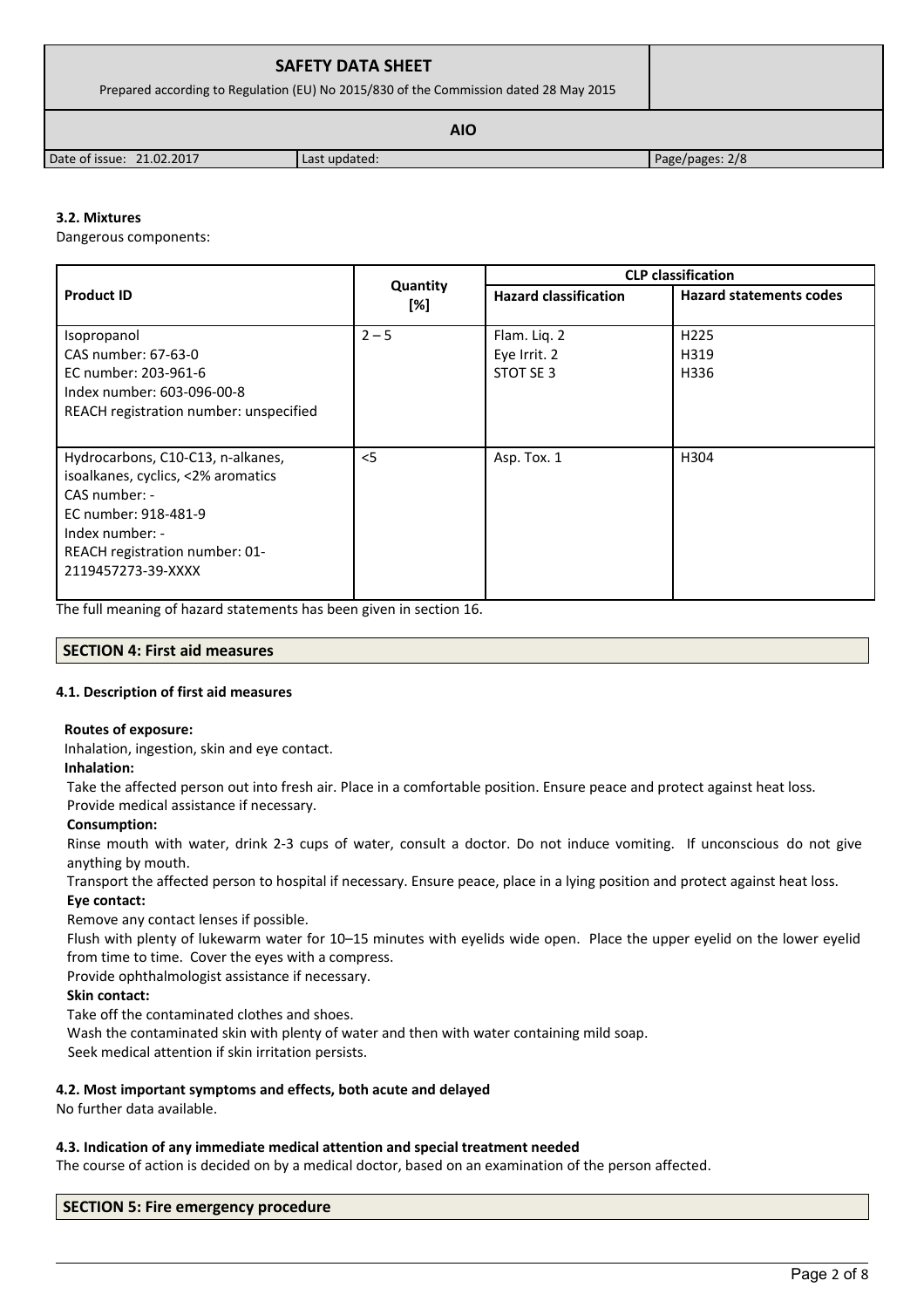| <b>SAFETY DATA SHEET</b><br>Prepared according to Regulation (EU) No 2015/830 of the Commission dated 28 May 2015 |               |                 |
|-------------------------------------------------------------------------------------------------------------------|---------------|-----------------|
|                                                                                                                   |               |                 |
| Date of issue: 21.02.2017                                                                                         | Last updated: | Page/pages: 2/8 |

# **3.2. Mixtures**

Dangerous components:

|                                        |                 | <b>CLP</b> classification    |                                |  |
|----------------------------------------|-----------------|------------------------------|--------------------------------|--|
| <b>Product ID</b>                      | Quantity<br>[%] | <b>Hazard classification</b> | <b>Hazard statements codes</b> |  |
| Isopropanol                            | $2 - 5$         | Flam. Liq. 2                 | H <sub>225</sub>               |  |
| CAS number: 67-63-0                    |                 | Eye Irrit. 2                 | H319                           |  |
| EC number: 203-961-6                   |                 | STOT SE 3                    | H336                           |  |
| Index number: 603-096-00-8             |                 |                              |                                |  |
| REACH registration number: unspecified |                 |                              |                                |  |
|                                        |                 |                              |                                |  |
| Hydrocarbons, C10-C13, n-alkanes,      | < 5             | Asp. Tox. 1                  | H304                           |  |
| isoalkanes, cyclics, <2% aromatics     |                 |                              |                                |  |
| CAS number: -                          |                 |                              |                                |  |
| EC number: 918-481-9                   |                 |                              |                                |  |
| Index number: -                        |                 |                              |                                |  |
| REACH registration number: 01-         |                 |                              |                                |  |
| 2119457273-39-XXXX                     |                 |                              |                                |  |
|                                        |                 |                              |                                |  |

The full meaning of hazard statements has been given in section 16.

# **SECTION 4: First aid measures**

# **4.1. Description of first aid measures**

### **Routes of exposure:**

Inhalation, ingestion, skin and eye contact.

### **Inhalation:**

Take the affected person out into fresh air. Place in a comfortable position. Ensure peace and protect against heat loss.

# Provide medical assistance if necessary.

# **Consumption:**

Rinse mouth with water, drink 2-3 cups of water, consult a doctor. Do not induce vomiting. If unconscious do not give anything by mouth.

Transport the affected person to hospital if necessary. Ensure peace, place in a lying position and protect against heat loss.

# **Eye contact:**

Remove any contact lenses if possible.

Flush with plenty of lukewarm water for 10–15 minutes with eyelids wide open. Place the upper eyelid on the lower eyelid from time to time. Cover the eyes with a compress.

Provide ophthalmologist assistance if necessary.

# **Skin contact:**

Take off the contaminated clothes and shoes.

Wash the contaminated skin with plenty of water and then with water containing mild soap.

Seek medical attention if skin irritation persists.

# **4.2. Most important symptoms and effects, both acute and delayed**

No further data available.

# **4.3. Indication of any immediate medical attention and special treatment needed**

The course of action is decided on by a medical doctor, based on an examination of the person affected.

# **SECTION 5: Fire emergency procedure**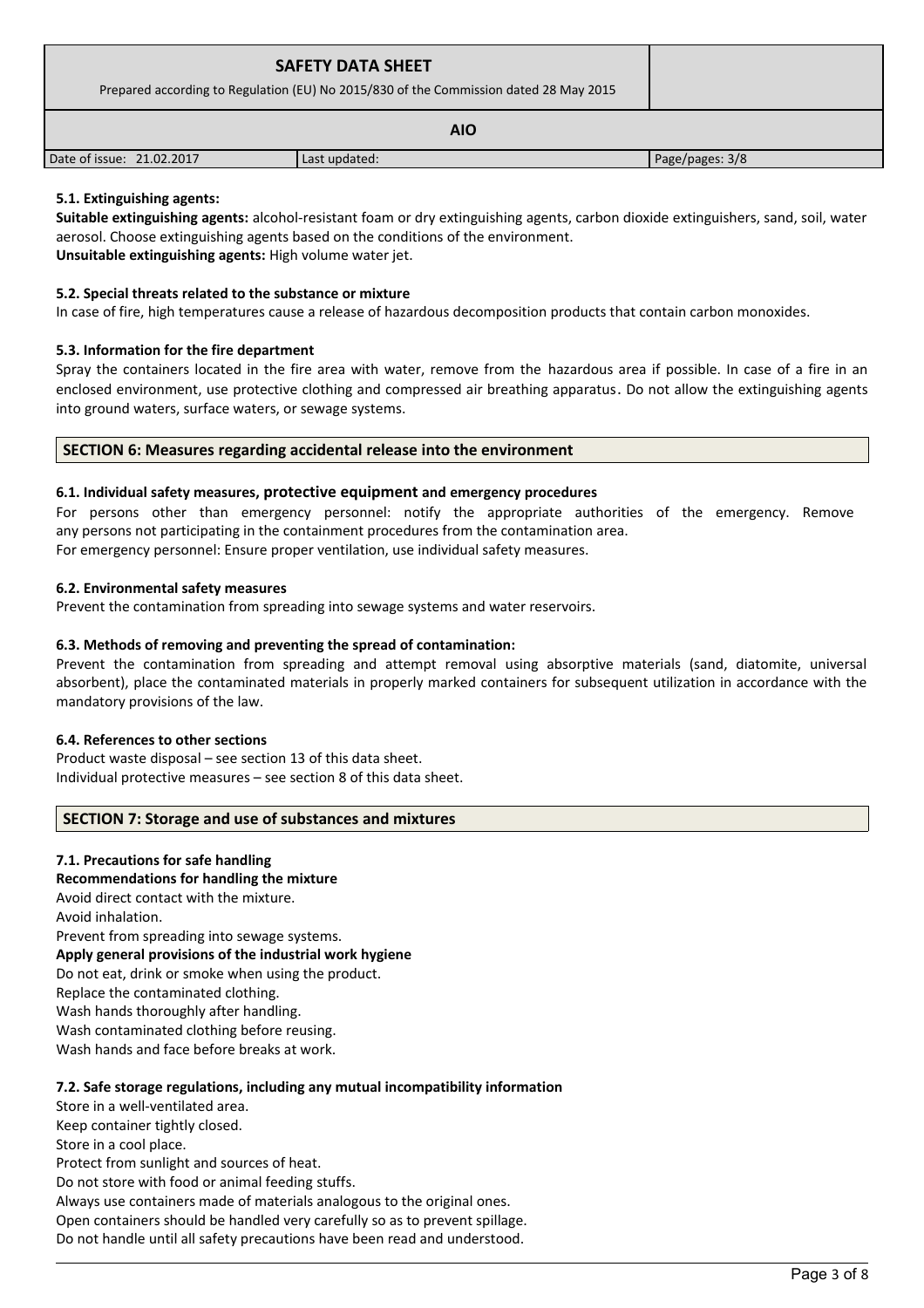| <b>SAFETY DATA SHEET</b><br>Prepared according to Regulation (EU) No 2015/830 of the Commission dated 28 May 2015 |               |                 |  |
|-------------------------------------------------------------------------------------------------------------------|---------------|-----------------|--|
| <b>AIO</b>                                                                                                        |               |                 |  |
| Date of issue: 21.02.2017                                                                                         | Last updated: | Page/pages: 3/8 |  |

# **5.1. Extinguishing agents:**

**Suitable extinguishing agents:** alcohol-resistant foam or dry extinguishing agents, carbon dioxide extinguishers, sand, soil, water aerosol. Choose extinguishing agents based on the conditions of the environment. **Unsuitable extinguishing agents:** High volume water jet.

# **5.2. Special threats related to the substance or mixture**

In case of fire, high temperatures cause a release of hazardous decomposition products that contain carbon monoxides.

# **5.3. Information for the fire department**

Spray the containers located in the fire area with water, remove from the hazardous area if possible. In case of a fire in an enclosed environment, use protective clothing and compressed air breathing apparatus. Do not allow the extinguishing agents into ground waters, surface waters, or sewage systems.

# **SECTION 6: Measures regarding accidental release into the environment**

# **6.1. Individual safety measures, protective equipment and emergency procedures**

For persons other than emergency personnel: notify the appropriate authorities of the emergency. Remove any persons not participating in the containment procedures from the contamination area. For emergency personnel: Ensure proper ventilation, use individual safety measures.

### **6.2. Environmental safety measures**

Prevent the contamination from spreading into sewage systems and water reservoirs.

# **6.3. Methods of removing and preventing the spread of contamination:**

Prevent the contamination from spreading and attempt removal using absorptive materials (sand, diatomite, universal absorbent), place the contaminated materials in properly marked containers for subsequent utilization in accordance with the mandatory provisions of the law.

### **6.4. References to other sections**

Product waste disposal – see section 13 of this data sheet. Individual protective measures – see section 8 of this data sheet.

# **SECTION 7: Storage and use of substances and mixtures**

# **7.1. Precautions for safe handling**

### **Recommendations for handling the mixture**

Avoid direct contact with the mixture.

Avoid inhalation.

Prevent from spreading into sewage systems.

**Apply general provisions of the industrial work hygiene** 

Do not eat, drink or smoke when using the product.

Replace the contaminated clothing.

Wash hands thoroughly after handling.

Wash contaminated clothing before reusing.

Wash hands and face before breaks at work.

# **7.2. Safe storage regulations, including any mutual incompatibility information**

Store in a well-ventilated area. Keep container tightly closed. Store in a cool place. Protect from sunlight and sources of heat. Do not store with food or animal feeding stuffs.

Always use containers made of materials analogous to the original ones. Open containers should be handled very carefully so as to prevent spillage. Do not handle until all safety precautions have been read and understood.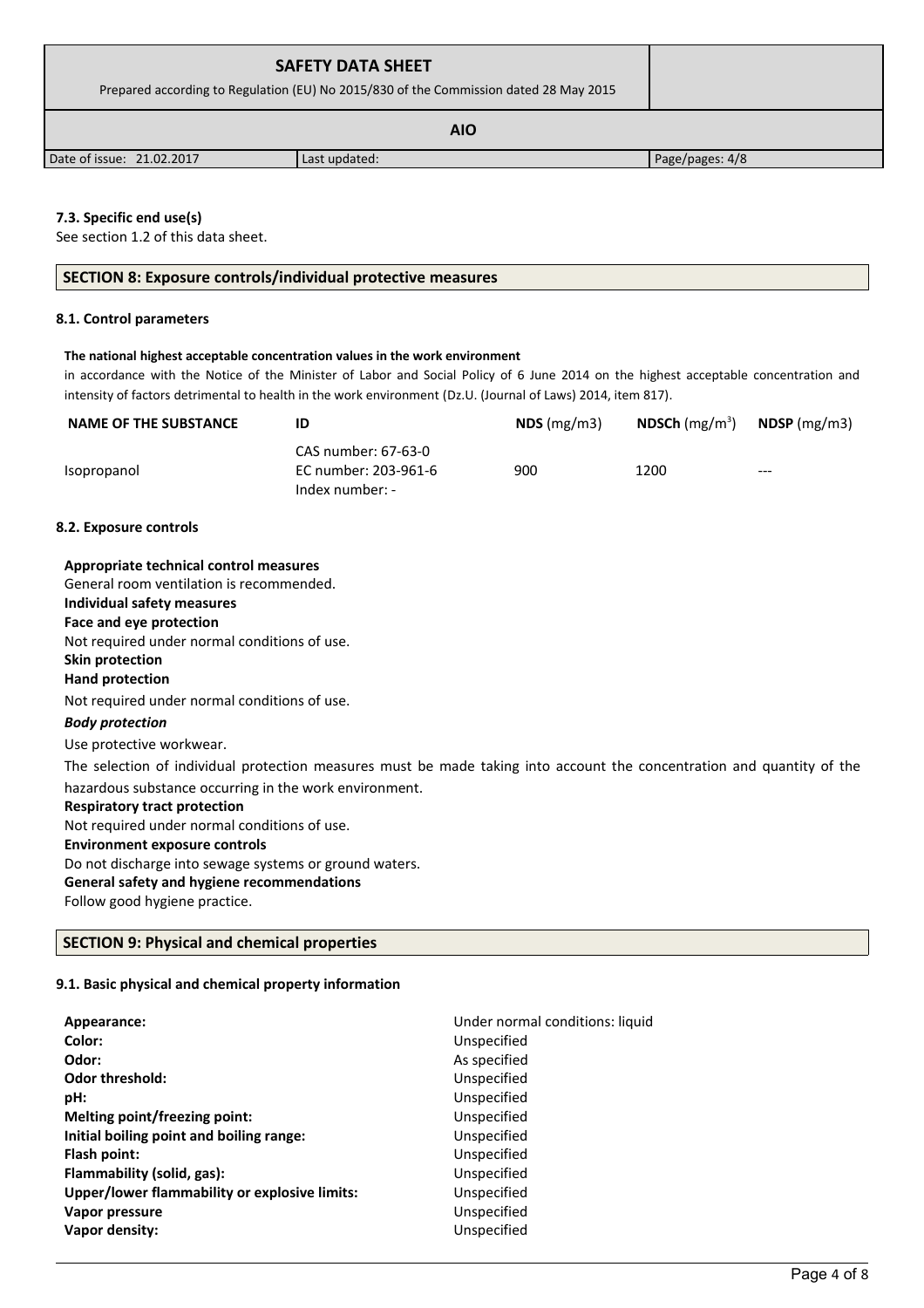| <b>SAFETY DATA SHEET</b><br>Prepared according to Regulation (EU) No 2015/830 of the Commission dated 28 May 2015 |               |                 |  |
|-------------------------------------------------------------------------------------------------------------------|---------------|-----------------|--|
| <b>AIO</b>                                                                                                        |               |                 |  |
| Date of issue: 21.02.2017                                                                                         | Last updated: | Page/pages: 4/8 |  |

# **7.3. Specific end use(s)**

See section 1.2 of this data sheet.

# **SECTION 8: Exposure controls/individual protective measures**

### **8.1. Control parameters**

# **The national highest acceptable concentration values in the work environment**

in accordance with the Notice of the Minister of Labor and Social Policy of 6 June 2014 on the highest acceptable concentration and intensity of factors detrimental to health in the work environment (Dz.U. (Journal of Laws) 2014, item 817).

| <b>NAME OF THE SUBSTANCE</b> | ID                                                             | $NDS$ (mg/m3) | <b>NDSCh</b> (mg/m <sup>3</sup> ) | $N$ DSP (mg/m3) |
|------------------------------|----------------------------------------------------------------|---------------|-----------------------------------|-----------------|
| Isopropanol                  | CAS number: 67-63-0<br>EC number: 203-961-6<br>Index number: - | 900           | 1200                              | $---$           |

### **8.2. Exposure controls**

| Appropriate technical control measures                                                                                 |
|------------------------------------------------------------------------------------------------------------------------|
| General room ventilation is recommended.                                                                               |
| Individual safety measures                                                                                             |
| Face and eye protection                                                                                                |
| Not required under normal conditions of use.                                                                           |
| Skin protection                                                                                                        |
| <b>Hand protection</b>                                                                                                 |
| Not required under normal conditions of use.                                                                           |
| <b>Body protection</b>                                                                                                 |
| Use protective workwear.                                                                                               |
| The selection of individual protection measures must be made taking into account the concentration and quantity of the |
| hazardous substance occurring in the work environment.                                                                 |
| <b>Respiratory tract protection</b>                                                                                    |
| Not required under normal conditions of use.                                                                           |
| <b>Environment exposure controls</b>                                                                                   |
| Do not discharge into sewage systems or ground waters.                                                                 |
| General safety and hygiene recommendations                                                                             |
| Follow good hygiene practice.                                                                                          |

# **SECTION 9: Physical and chemical properties**

### **9.1. Basic physical and chemical property information**

| Appearance:<br>Color:                         | Under normal conditions: liquid<br>Unspecified |
|-----------------------------------------------|------------------------------------------------|
| Odor:                                         | As specified                                   |
| <b>Odor threshold:</b>                        | Unspecified                                    |
| pH:                                           | Unspecified                                    |
| Melting point/freezing point:                 | Unspecified                                    |
| Initial boiling point and boiling range:      | Unspecified                                    |
| Flash point:                                  | Unspecified                                    |
| Flammability (solid, gas):                    | Unspecified                                    |
| Upper/lower flammability or explosive limits: | Unspecified                                    |
| Vapor pressure                                | Unspecified                                    |
| Vapor density:                                | Unspecified                                    |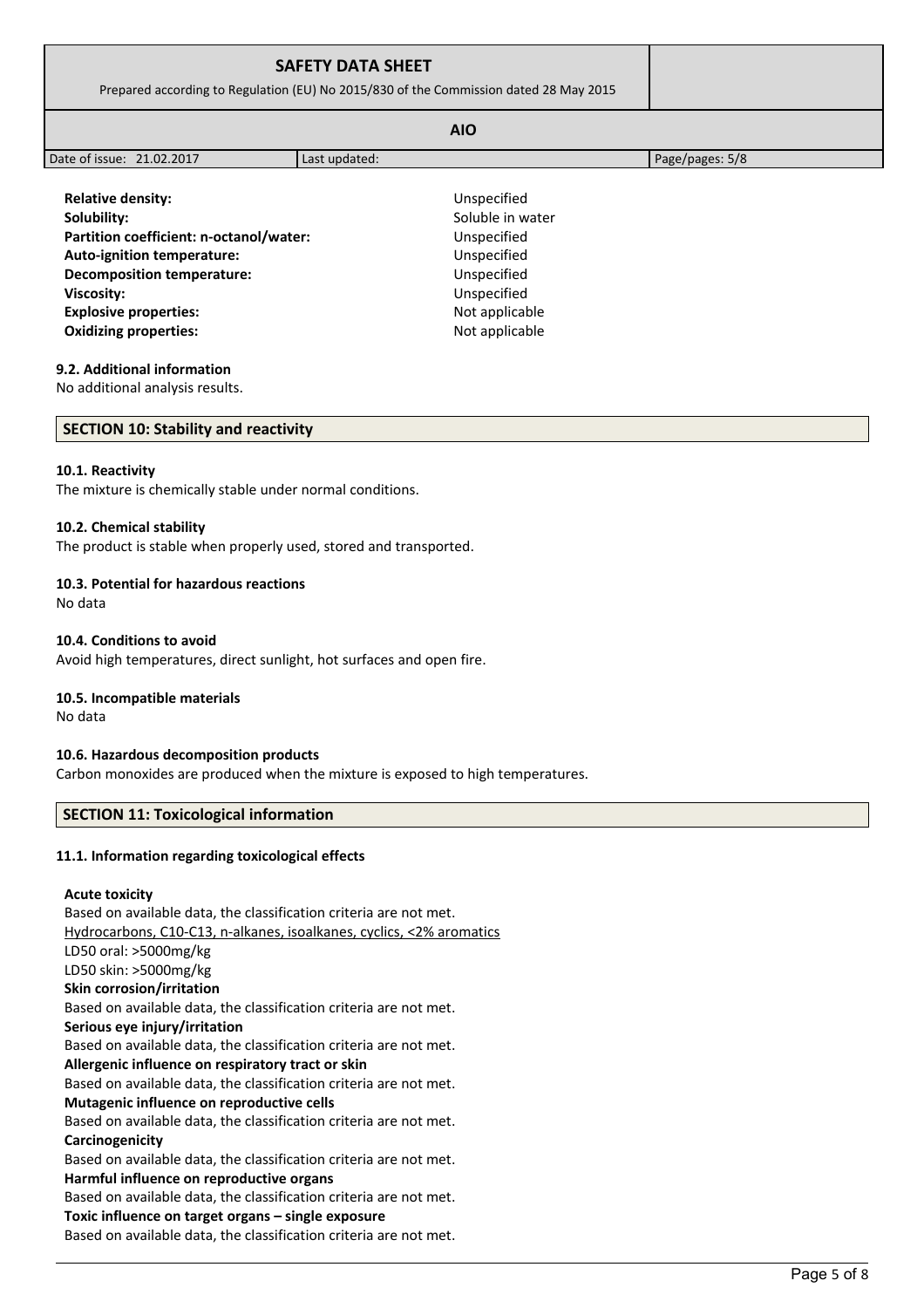| <b>AIO</b><br>Page/pages: 5/8<br>Last updated: |  |
|------------------------------------------------|--|
| Unspecified                                    |  |
| Soluble in water                               |  |
| Unspecified                                    |  |
| Unspecified                                    |  |
| Unspecified                                    |  |
| Unspecified                                    |  |
| Not applicable                                 |  |
| Not applicable                                 |  |
|                                                |  |

### **9.2. Additional information**

No additional analysis results.

#### **SECTION 10: Stability and reactivity**

#### **10.1. Reactivity**

The mixture is chemically stable under normal conditions.

### **10.2. Chemical stability**

The product is stable when properly used, stored and transported.

### **10.3. Potential for hazardous reactions**

No data

### **10.4. Conditions to avoid**

Avoid high temperatures, direct sunlight, hot surfaces and open fire.

### **10.5. Incompatible materials**

No data

# **10.6. Hazardous decomposition products**

Carbon monoxides are produced when the mixture is exposed to high temperatures.

### **SECTION 11: Toxicological information**

### **11.1. Information regarding toxicological effects**

### **Acute toxicity**

Based on available data, the classification criteria are not met. Hydrocarbons, C10-C13, n-alkanes, isoalkanes, cyclics, <2% aromatics LD50 oral: >5000mg/kg LD50 skin: >5000mg/kg **Skin corrosion/irritation** Based on available data, the classification criteria are not met. **Serious eye injury/irritation** Based on available data, the classification criteria are not met. **Allergenic influence on respiratory tract or skin** Based on available data, the classification criteria are not met. **Mutagenic influence on reproductive cells** Based on available data, the classification criteria are not met. **Carcinogenicity** Based on available data, the classification criteria are not met. **Harmful influence on reproductive organs** Based on available data, the classification criteria are not met. **Toxic influence on target organs – single exposure** Based on available data, the classification criteria are not met.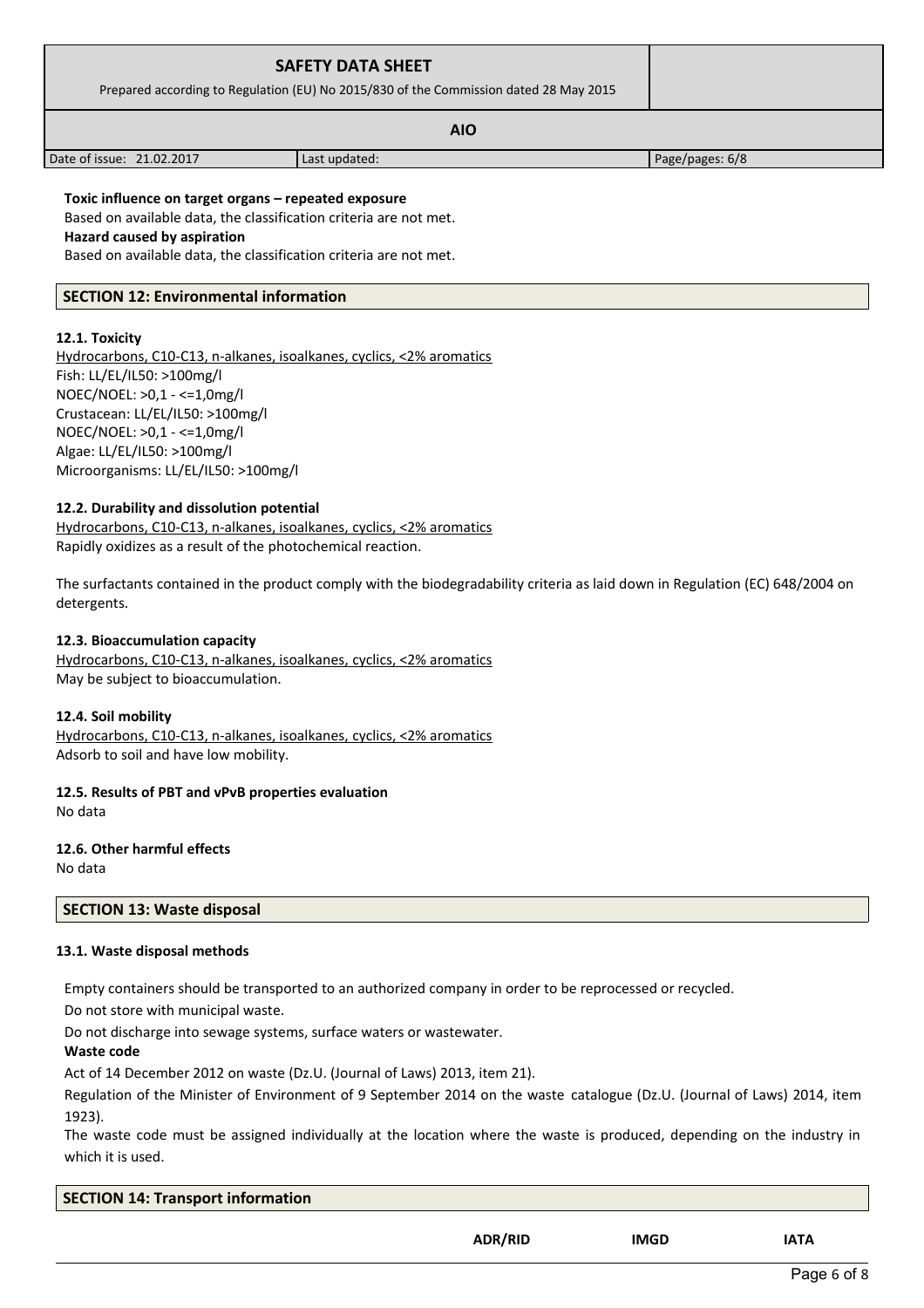|                                                                                                                            | <b>SAFETY DATA SHEET</b><br>Prepared according to Regulation (EU) No 2015/830 of the Commission dated 28 May 2015 |                 |  |  |
|----------------------------------------------------------------------------------------------------------------------------|-------------------------------------------------------------------------------------------------------------------|-----------------|--|--|
|                                                                                                                            |                                                                                                                   |                 |  |  |
| Date of issue: 21.02.2017                                                                                                  | Last updated:                                                                                                     | Page/pages: 6/8 |  |  |
| Toxic influence on target organs - repeated exposure<br>Deenah ay aya ilahka data dha sheerification sultanio ang naturat. |                                                                                                                   |                 |  |  |

Based on available data, the classification criteria are not met.

**Hazard caused by aspiration**

Based on available data, the classification criteria are not met.

# **SECTION 12: Environmental information**

# **12.1. Toxicity**

Hydrocarbons, C10-C13, n-alkanes, isoalkanes, cyclics, <2% aromatics Fish: LL/EL/IL50: >100mg/l NOEC/NOEL: >0,1 - <=1,0mg/l Crustacean: LL/EL/IL50: >100mg/l NOEC/NOEL: >0,1 - <=1,0mg/l Algae: LL/EL/IL50: >100mg/l Microorganisms: LL/EL/IL50: >100mg/l

# **12.2. Durability and dissolution potential**

 Hydrocarbons, C10-C13, n-alkanes, isoalkanes, cyclics, <2% aromatics Rapidly oxidizes as a result of the photochemical reaction.

The surfactants contained in the product comply with the biodegradability criteria as laid down in Regulation (EC) 648/2004 on detergents.

# **12.3. Bioaccumulation capacity**

 Hydrocarbons, C10-C13, n-alkanes, isoalkanes, cyclics, <2% aromatics May be subject to bioaccumulation.

# **12.4. Soil mobility**

 Hydrocarbons, C10-C13, n-alkanes, isoalkanes, cyclics, <2% aromatics Adsorb to soil and have low mobility.

**12.5. Results of PBT and vPvB properties evaluation**

No data

### **12.6. Other harmful effects** No data

# **SECTION 13: Waste disposal**

# **13.1. Waste disposal methods**

Empty containers should be transported to an authorized company in order to be reprocessed or recycled.

Do not store with municipal waste.

Do not discharge into sewage systems, surface waters or wastewater.

**Waste code**

Act of 14 December 2012 on waste (Dz.U. (Journal of Laws) 2013, item 21).

Regulation of the Minister of Environment of 9 September 2014 on the waste catalogue (Dz.U. (Journal of Laws) 2014, item 1923).

The waste code must be assigned individually at the location where the waste is produced, depending on the industry in which it is used.

| <b>SECTION 14: Transport information</b> |  |
|------------------------------------------|--|
|                                          |  |

**ADR/RID IMGD IATA**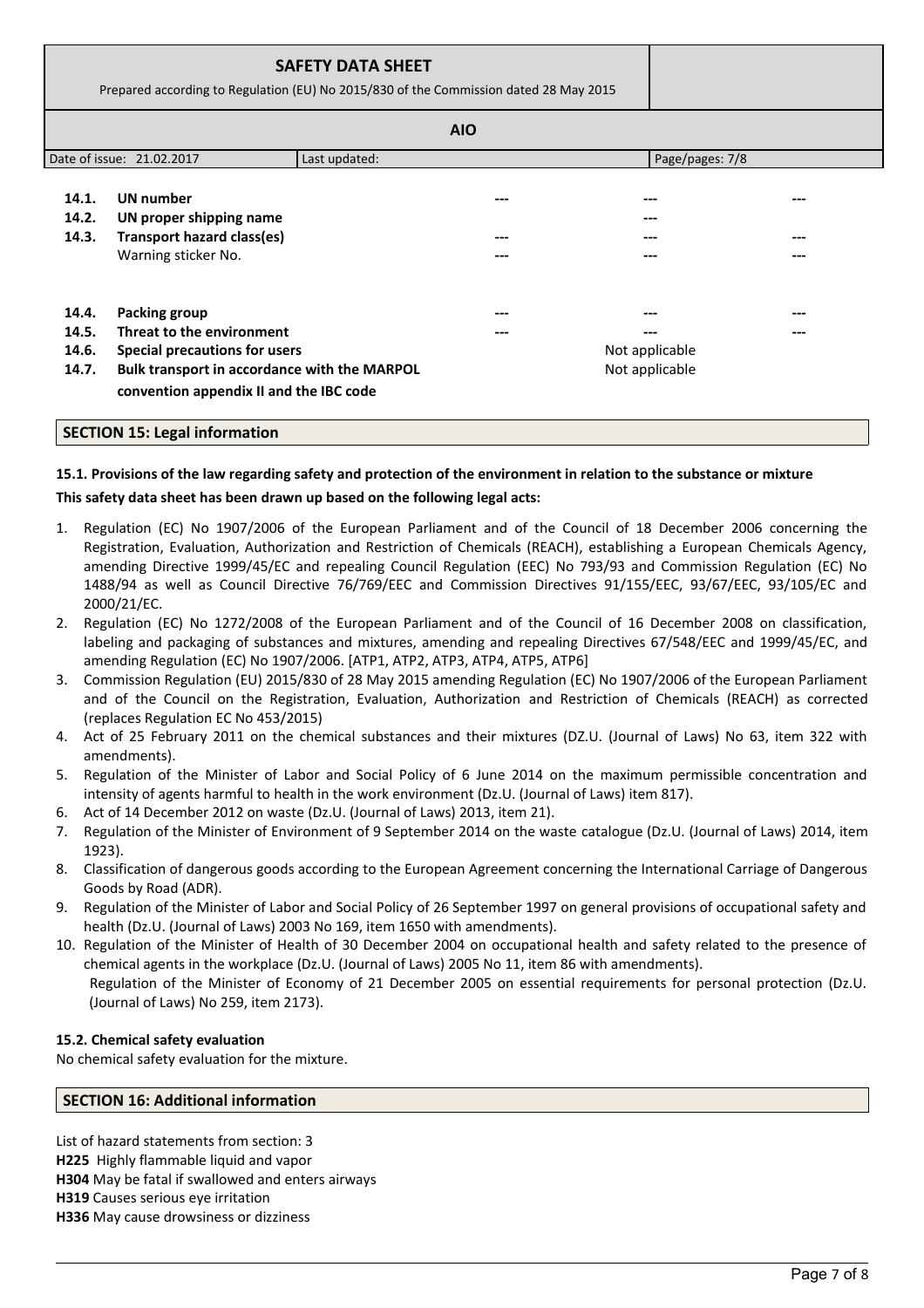|                                  | <b>SAFETY DATA SHEET</b><br>Prepared according to Regulation (EU) No 2015/830 of the Commission dated 28 May 2015                                                             |               |            |                                  |            |
|----------------------------------|-------------------------------------------------------------------------------------------------------------------------------------------------------------------------------|---------------|------------|----------------------------------|------------|
|                                  |                                                                                                                                                                               |               | <b>AIO</b> |                                  |            |
|                                  | Date of issue: 21.02.2017                                                                                                                                                     | Last updated: |            | Page/pages: 7/8                  |            |
| 14.1.<br>14.2.<br>14.3.          | UN number<br>UN proper shipping name<br>Transport hazard class(es)<br>Warning sticker No.                                                                                     |               | ---        |                                  | ---<br>--- |
| 14.4.<br>14.5.<br>14.6.<br>14.7. | <b>Packing group</b><br>Threat to the environment<br>Special precautions for users<br>Bulk transport in accordance with the MARPOL<br>convention appendix II and the IBC code |               | ---<br>--- | Not applicable<br>Not applicable | ---        |

# **SECTION 15: Legal information**

# **15.1. Provisions of the law regarding safety and protection of the environment in relation to the substance or mixture**

# **This safety data sheet has been drawn up based on the following legal acts:**

- 1. Regulation (EC) No 1907/2006 of the European Parliament and of the Council of 18 December 2006 concerning the Registration, Evaluation, Authorization and Restriction of Chemicals (REACH), establishing a European Chemicals Agency, amending Directive 1999/45/EC and repealing Council Regulation (EEC) No 793/93 and Commission Regulation (EC) No 1488/94 as well as Council Directive 76/769/EEC and Commission Directives 91/155/EEC, 93/67/EEC, 93/105/EC and 2000/21/EC.
- 2. Regulation (EC) No 1272/2008 of the European Parliament and of the Council of 16 December 2008 on classification, labeling and packaging of substances and mixtures, amending and repealing Directives 67/548/EEC and 1999/45/EC, and amending Regulation (EC) No 1907/2006. [ATP1, ATP2, ATP3, ATP4, ATP5, ATP6]
- 3. Commission Regulation (EU) 2015/830 of 28 May 2015 amending Regulation (EC) No 1907/2006 of the European Parliament and of the Council on the Registration, Evaluation, Authorization and Restriction of Chemicals (REACH) as corrected (replaces Regulation EC No 453/2015)
- 4. Act of 25 February 2011 on the chemical substances and their mixtures (DZ.U. (Journal of Laws) No 63, item 322 with amendments).
- 5. Regulation of the Minister of Labor and Social Policy of 6 June 2014 on the maximum permissible concentration and intensity of agents harmful to health in the work environment (Dz.U. (Journal of Laws) item 817).
- 6. Act of 14 December 2012 on waste (Dz.U. (Journal of Laws) 2013, item 21).
- 7. Regulation of the Minister of Environment of 9 September 2014 on the waste catalogue (Dz.U. (Journal of Laws) 2014, item 1923).
- 8. Classification of dangerous goods according to the European Agreement concerning the International Carriage of Dangerous Goods by Road (ADR).
- 9. Regulation of the Minister of Labor and Social Policy of 26 September 1997 on general provisions of occupational safety and health (Dz.U. (Journal of Laws) 2003 No 169, item 1650 with amendments).
- 10. Regulation of the Minister of Health of 30 December 2004 on occupational health and safety related to the presence of chemical agents in the workplace (Dz.U. (Journal of Laws) 2005 No 11, item 86 with amendments). Regulation of the Minister of Economy of 21 December 2005 on essential requirements for personal protection (Dz.U.

# **15.2. Chemical safety evaluation**

No chemical safety evaluation for the mixture.

(Journal of Laws) No 259, item 2173).

### **SECTION 16: Additional information**

List of hazard statements from section: 3 **H225** Highly flammable liquid and vapor **H304** May be fatal if swallowed and enters airways **H319** Causes serious eye irritation **H336** May cause drowsiness or dizziness